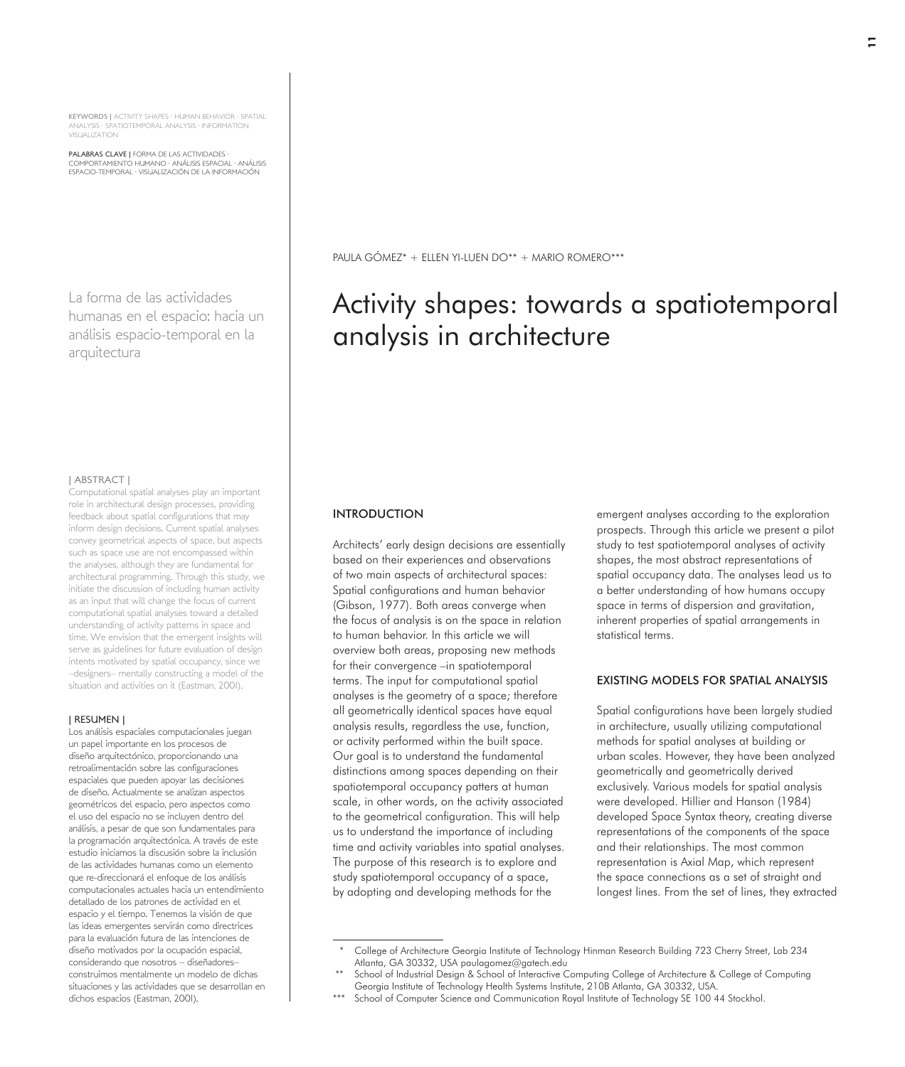KEYWORDS | ACTIVITY SHAPES · HUMAN BEHAVIOR · SPATIAL ANALYSIS · SPATIOTEMPORAL ANALYSIS · INFORMATION VISUALIZATION

PALABRAS CLAVE | FORMA DE LAS ACTIVIDADES · COMPORTAMIENTO HUMANO · ANÁLISIS ESPACIAL · ANÁLISIS ESPACIO-TEMPORAL · VISUALIZACIÓN DE LA INFORMACIÓN

La forma de las actividades humanas en el espacio: hacia un análisis espacio-temporal en la arquitectura

#### | ABSTRACT |

Computational spatial analyses play an important role in architectural design processes, providing feedback about spatial configurations that may inform design decisions. Current spatial analyses convey geometrical aspects of space, but aspects such as space use are not encompassed within the analyses, although they are fundamental for architectural programming. Through this study, we initiate the discussion of including human activity as an input that will change the focus of current computational spatial analyses toward a detailed understanding of activity patterns in space and time. We envision that the emergent insights will serve as guidelines for future evaluation of design intents motivated by spatial occupancy, since we –designers– mentally constructing a model of the situation and activities on it (Eastman, 2001).

#### | RESUMEN |

Los análisis espaciales computacionales juegan un papel importante en los procesos de diseño arquitectónico, proporcionando una retroalimentación sobre las configuraciones espaciales que pueden apoyar las decisiones de diseño. Actualmente se analizan aspectos geométricos del espacio, pero aspectos como el uso del espacio no se incluyen dentro del análisis, a pesar de que son fundamentales para la programación arquitectónica. A través de este estudio iniciamos la discusión sobre la inclusión de las actividades humanas como un elemento que re-direccionará el enfoque de los análisis computacionales actuales hacia un entendimiento detallado de los patrones de actividad en el espacio y el tiempo. Tenemos la visión de que las ideas emergentes servirán como directrices para la evaluación futura de las intenciones de diseño motivados por la ocupación espacial, considerando que nosotros – diseñadores– construimos mentalmente un modelo de dichas situaciones y las actividades que se desarrollan en dichos espacios (Eastman, 2001).

PAULA GÓMEZ\* + ELLEN YI-LUEN DO\*\* + MARIO ROMERO\*\*\*

# Activity shapes: towards a spatiotemporal analysis in architecture

## INTRODUCTION

Architects' early design decisions are essentially based on their experiences and observations of two main aspects of architectural spaces: Spatial configurations and human behavior (Gibson, 1977). Both areas converge when the focus of analysis is on the space in relation to human behavior. In this article we will overview both areas, proposing new methods for their convergence –in spatiotemporal terms. The input for computational spatial analyses is the geometry of a space; therefore all geometrically identical spaces have equal analysis results, regardless the use, function, or activity performed within the built space. Our goal is to understand the fundamental distinctions among spaces depending on their spatiotemporal occupancy patters at human scale, in other words, on the activity associated to the geometrical configuration. This will help us to understand the importance of including time and activity variables into spatial analyses. The purpose of this research is to explore and study spatiotemporal occupancy of a space, by adopting and developing methods for the

emergent analyses according to the exploration prospects. Through this article we present a pilot study to test spatiotemporal analyses of activity shapes, the most abstract representations of spatial occupancy data. The analyses lead us to a better understanding of how humans occupy space in terms of dispersion and gravitation, inherent properties of spatial arrangements in statistical terms.

## EXISTING MODELS FOR SPATIAL ANALYSIS

Spatial configurations have been largely studied in architecture, usually utilizing computational methods for spatial analyses at building or urban scales. However, they have been analyzed geometrically and geometrically derived exclusively. Various models for spatial analysis were developed. Hillier and Hanson (1984) developed Space Syntax theory, creating diverse representations of the components of the space and their relationships. The most common representation is Axial Map, which represent the space connections as a set of straight and longest lines. From the set of lines, they extracted

<sup>\*</sup> College of Architecture Georgia Institute of Technology Hinman Research Building 723 Cherry Street, Lab 234 Atlanta, GA 30332, USA paulagomez@gatech.edu

School of Industrial Design & School of Interactive Computing College of Architecture & College of Computing Georgia Institute of Technology Health Systems Institute, 210B Atlanta, GA 30332, USA.

School of Computer Science and Communication Royal Institute of Technology SE 100 44 Stockhol.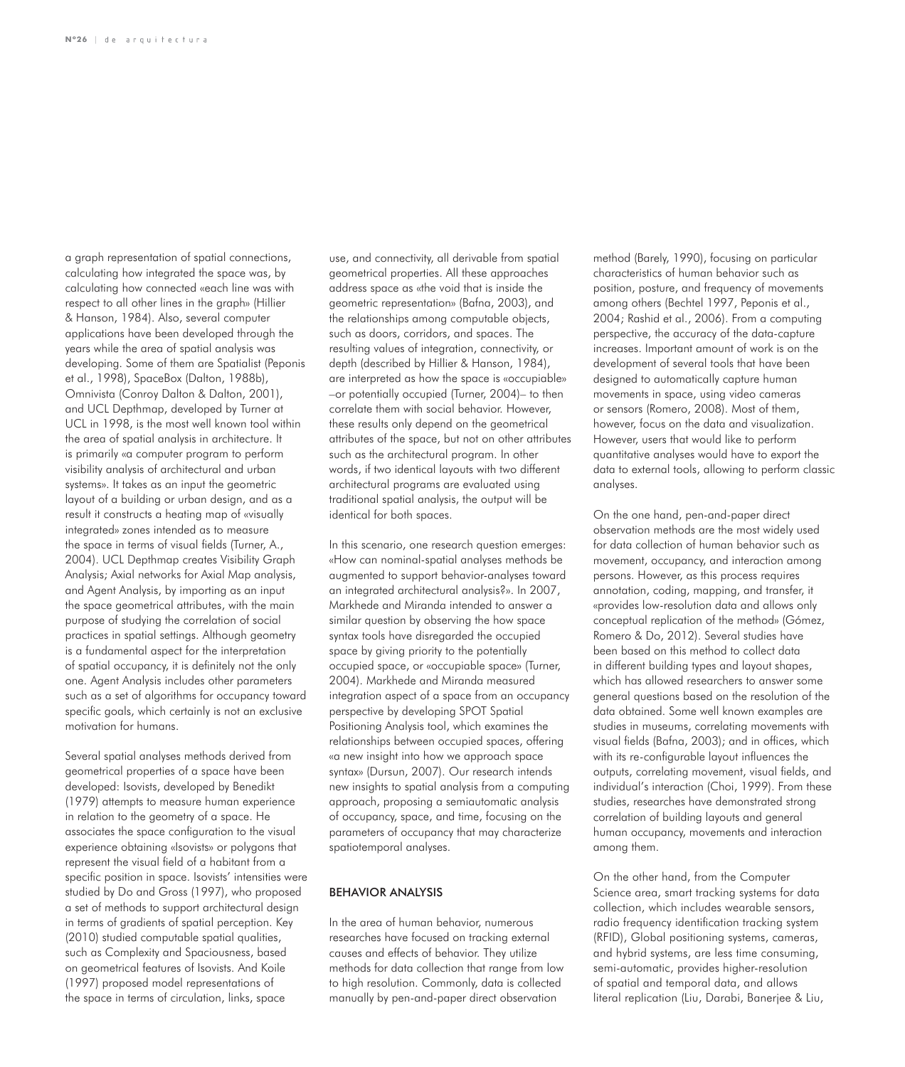a graph representation of spatial connections, calculating how integrated the space was, by calculating how connected «each line was with respect to all other lines in the graph» (Hillier & Hanson, 1984). Also, several computer applications have been developed through the years while the area of spatial analysis was developing. Some of them are Spatialist (Peponis et al., 1998), SpaceBox (Dalton, 1988b), Omnivista (Conroy Dalton & Dalton, 2001), and UCL Depthmap, developed by Turner at UCL in 1998, is the most well known tool within the area of spatial analysis in architecture. It is primarily «a computer program to perform visibility analysis of architectural and urban systems». It takes as an input the geometric layout of a building or urban design, and as a result it constructs a heating map of «visually integrated» zones intended as to measure the space in terms of visual fields (Turner, A., 2004). UCL Depthmap creates Visibility Graph Analysis; Axial networks for Axial Map analysis, and Agent Analysis, by importing as an input the space geometrical attributes, with the main purpose of studying the correlation of social practices in spatial settings. Although geometry is a fundamental aspect for the interpretation of spatial occupancy, it is definitely not the only one. Agent Analysis includes other parameters such as a set of algorithms for occupancy toward specific goals, which certainly is not an exclusive motivation for humans.

Several spatial analyses methods derived from geometrical properties of a space have been developed: Isovists, developed by Benedikt (1979) attempts to measure human experience in relation to the geometry of a space. He associates the space configuration to the visual experience obtaining «Isovists» or polygons that represent the visual field of a habitant from a specific position in space. Isovists' intensities were studied by Do and Gross (1997), who proposed a set of methods to support architectural design in terms of gradients of spatial perception. Key (2010) studied computable spatial qualities, such as Complexity and Spaciousness, based on geometrical features of Isovists. And Koile (1997) proposed model representations of the space in terms of circulation, links, space

use, and connectivity, all derivable from spatial geometrical properties. All these approaches address space as «the void that is inside the geometric representation» (Bafna, 2003), and the relationships among computable objects, such as doors, corridors, and spaces. The resulting values of integration, connectivity, or depth (described by Hillier & Hanson, 1984), are interpreted as how the space is «occupiable» –or potentially occupied (Turner, 2004)– to then correlate them with social behavior. However, these results only depend on the geometrical attributes of the space, but not on other attributes such as the architectural program. In other words, if two identical layouts with two different architectural programs are evaluated using traditional spatial analysis, the output will be identical for both spaces.

In this scenario, one research question emerges: «How can nominal-spatial analyses methods be augmented to support behavior-analyses toward an integrated architectural analysis?». In 2007, Markhede and Miranda intended to answer a similar question by observing the how space syntax tools have disregarded the occupied space by giving priority to the potentially occupied space, or «occupiable space» (Turner, 2004). Markhede and Miranda measured integration aspect of a space from an occupancy perspective by developing SPOT Spatial Positioning Analysis tool, which examines the relationships between occupied spaces, offering «a new insight into how we approach space syntax» (Dursun, 2007). Our research intends new insights to spatial analysis from a computing approach, proposing a semiautomatic analysis of occupancy, space, and time, focusing on the parameters of occupancy that may characterize spatiotemporal analyses.

#### BEHAVIOR ANALYSIS

In the area of human behavior, numerous researches have focused on tracking external causes and effects of behavior. They utilize methods for data collection that range from low to high resolution. Commonly, data is collected manually by pen-and-paper direct observation

method (Barely, 1990), focusing on particular characteristics of human behavior such as position, posture, and frequency of movements among others (Bechtel 1997, Peponis et al., 2004; Rashid et al., 2006). From a computing perspective, the accuracy of the data-capture increases. Important amount of work is on the development of several tools that have been designed to automatically capture human movements in space, using video cameras or sensors (Romero, 2008). Most of them, however, focus on the data and visualization. However, users that would like to perform quantitative analyses would have to export the data to external tools, allowing to perform classic analyses.

On the one hand, pen-and-paper direct observation methods are the most widely used for data collection of human behavior such as movement, occupancy, and interaction among persons. However, as this process requires annotation, coding, mapping, and transfer, it «provides low-resolution data and allows only conceptual replication of the method» (Gómez, Romero & Do, 2012). Several studies have been based on this method to collect data in different building types and layout shapes, which has allowed researchers to answer some general questions based on the resolution of the data obtained. Some well known examples are studies in museums, correlating movements with visual fields (Bafna, 2003); and in offices, which with its re-configurable layout influences the outputs, correlating movement, visual fields, and individual's interaction (Choi, 1999). From these studies, researches have demonstrated strong correlation of building layouts and general human occupancy, movements and interaction among them.

On the other hand, from the Computer Science area, smart tracking systems for data collection, which includes wearable sensors, radio frequency identification tracking system (RFID), Global positioning systems, cameras, and hybrid systems, are less time consuming, semi-automatic, provides higher-resolution of spatial and temporal data, and allows literal replication (Liu, Darabi, Banerjee & Liu,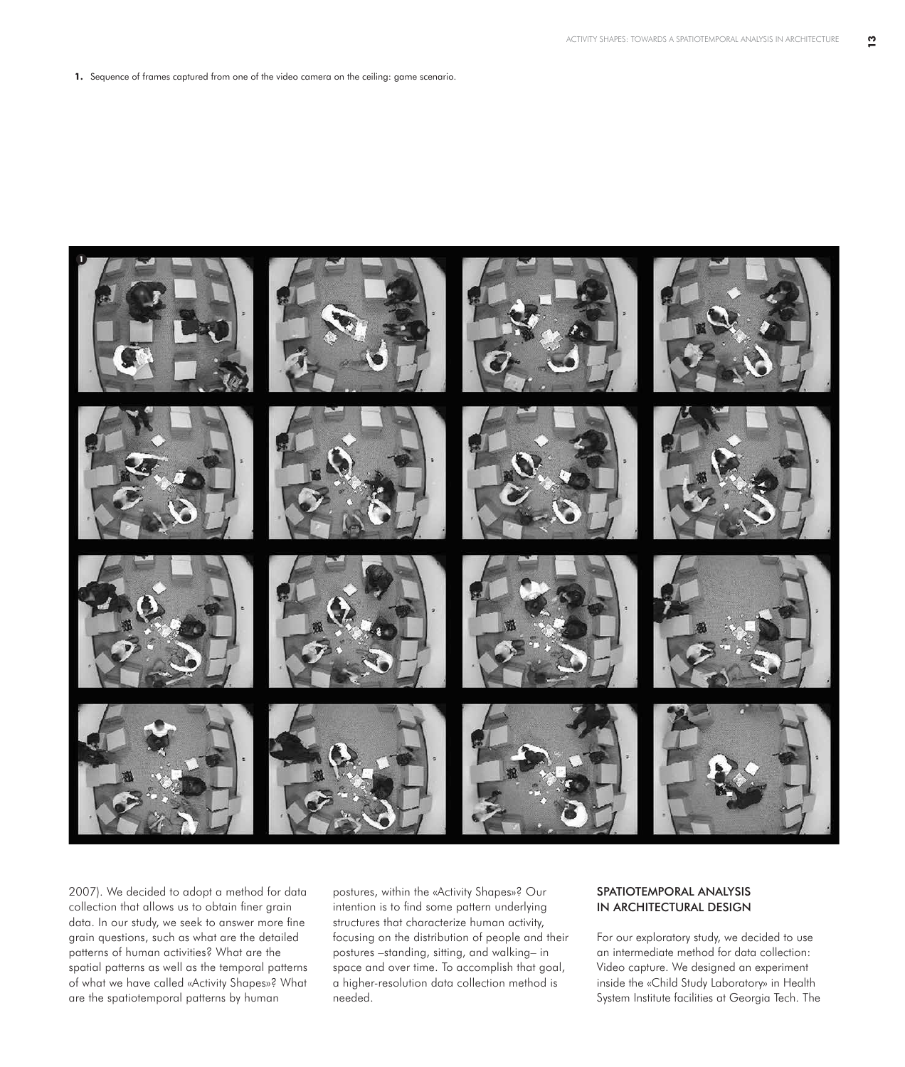**1.** Sequence of frames captured from one of the video camera on the ceiling: game scenario.



2007). We decided to adopt a method for data collection that allows us to obtain finer grain data. In our study, we seek to answer more fine grain questions, such as what are the detailed patterns of human activities? What are the spatial patterns as well as the temporal patterns of what we have called «Activity Shapes»? What are the spatiotemporal patterns by human

postures, within the «Activity Shapes»? Our intention is to find some pattern underlying structures that characterize human activity, focusing on the distribution of people and their postures –standing, sitting, and walking– in space and over time. To accomplish that goal, a higher-resolution data collection method is needed.

# SPATIOTEMPORAL ANALYSIS IN ARCHITECTURAL DESIGN

For our exploratory study, we decided to use an intermediate method for data collection: Video capture. We designed an experiment inside the «Child Study Laboratory» in Health System Institute facilities at Georgia Tech. The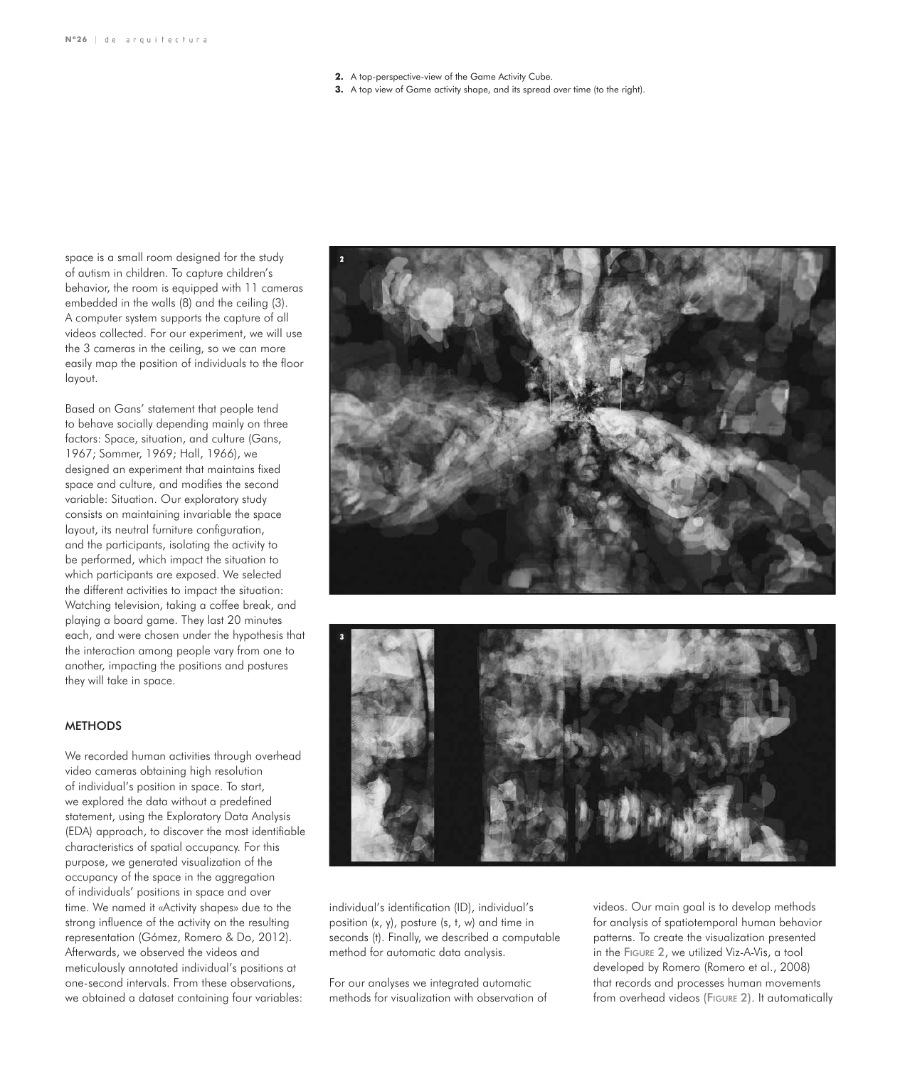- **2.** A top-perspective-view of the Game Activity Cube.
- **3.** A top view of Game activity shape, and its spread over time (to the right).

space is a small room designed for the study of autism in children. To capture children's behavior, the room is equipped with 11 cameras embedded in the walls (8) and the ceiling (3). A computer system supports the capture of all videos collected. For our experiment, we will use the 3 cameras in the ceiling, so we can more easily map the position of individuals to the floor layout.

Based on Gans' statement that people tend to behave socially depending mainly on three factors: Space, situation, and culture (Gans, 1967; Sommer, 1969; Hall, 1966), we designed an experiment that maintains fixed space and culture, and modifies the second variable: Situation. Our exploratory study consists on maintaining invariable the space layout, its neutral furniture configuration, and the participants, isolating the activity to be performed, which impact the situation to which participants are exposed. We selected the different activities to impact the situation: Watching television, taking a coffee break, and playing a board game. They last 20 minutes each, and were chosen under the hypothesis that the interaction among people vary from one to another, impacting the positions and postures they will take in space.

## **METHODS**

We recorded human activities through overhead video cameras obtaining high resolution of individual's position in space. To start, we explored the data without a predefined statement, using the Exploratory Data Analysis (EDA) approach, to discover the most identifiable characteristics of spatial occupancy. For this purpose, we generated visualization of the occupancy of the space in the aggregation of individuals' positions in space and over time. We named it «Activity shapes» due to the strong influence of the activity on the resulting representation (Gómez, Romero & Do, 2012). Afterwards, we observed the videos and meticulously annotated individual's positions at one-second intervals. From these observations, we obtained a dataset containing four variables:





individual's identification (ID), individual's position (x, y), posture (s, t, w) and time in seconds (t). Finally, we described a computable method for automatic data analysis.

For our analyses we integrated automatic methods for visualization with observation of

videos. Our main goal is to develop methods for analysis of spatiotemporal human behavior patterns. To create the visualization presented in the Figure 2, we utilized Viz-A-Vis, a tool developed by Romero (Romero et al., 2008) that records and processes human movements from overhead videos (FIGURE 2). It automatically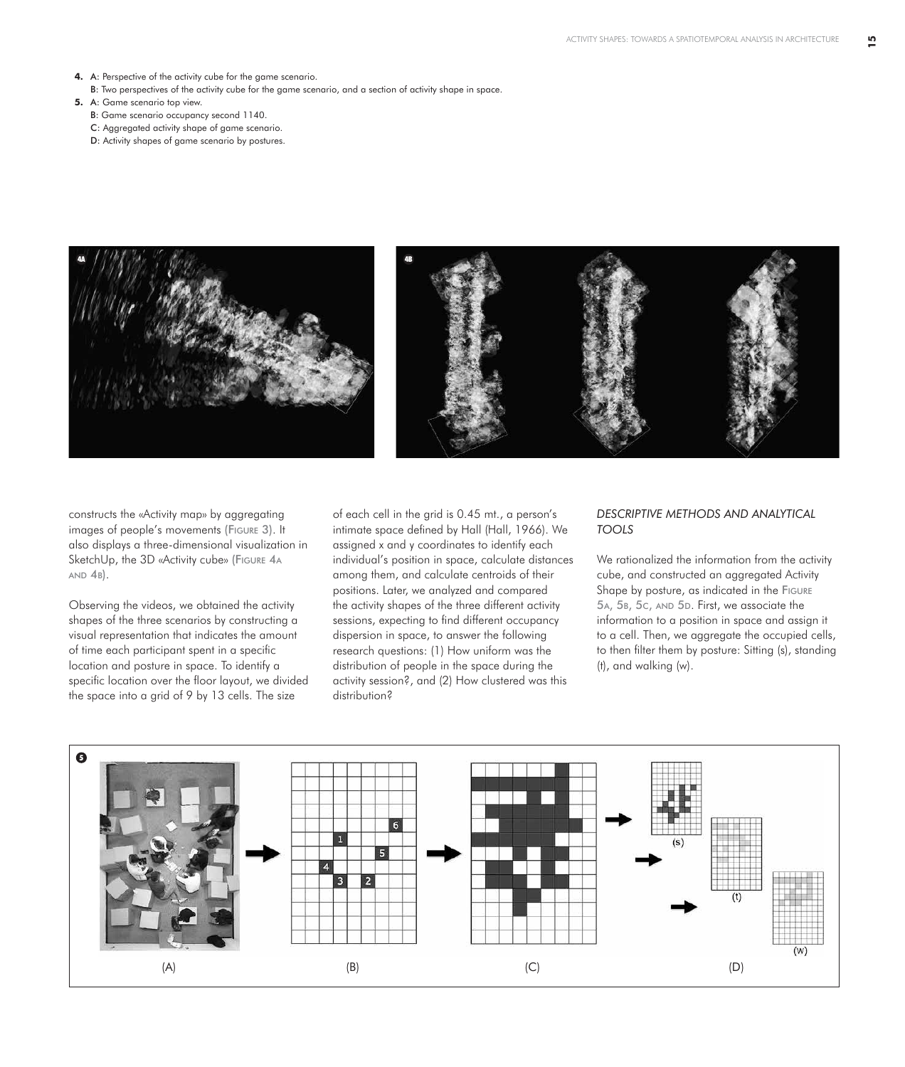- **4.** A: Perspective of the activity cube for the game scenario.
- B: Two perspectives of the activity cube for the game scenario, and a section of activity shape in space.
- **5.** A: Game scenario top view.
	- B: Game scenario occupancy second 1140.
	- C: Aggregated activity shape of game scenario.
	- D: Activity shapes of game scenario by postures.



constructs the «Activity map» by aggregating images of people's movements (Figure 3). It also displays a three-dimensional visualization in SketchUp, the 3D «Activity cube» (FIGURE 4A  $AND 4B$ ).

Observing the videos, we obtained the activity shapes of the three scenarios by constructing a visual representation that indicates the amount of time each participant spent in a specific location and posture in space. To identify a specific location over the floor layout, we divided the space into a grid of 9 by 13 cells. The size

of each cell in the grid is 0.45 mt., a person's intimate space defined by Hall (Hall, 1966). We assigned x and y coordinates to identify each individual's position in space, calculate distances among them, and calculate centroids of their positions. Later, we analyzed and compared the activity shapes of the three different activity sessions, expecting to find different occupancy dispersion in space, to answer the following research questions: (1) How uniform was the distribution of people in the space during the activity session?, and (2) How clustered was this distribution?

## *DESCRIPTIVE METHODS AND ANALYTICAL TOOLS*

We rationalized the information from the activity cube, and constructed an aggregated Activity Shape by posture, as indicated in the Figure 5A, 5B, 5c, AND 5D. First, we associate the information to a position in space and assign it to a cell. Then, we aggregate the occupied cells, to then filter them by posture: Sitting (s), standing (t), and walking (w).

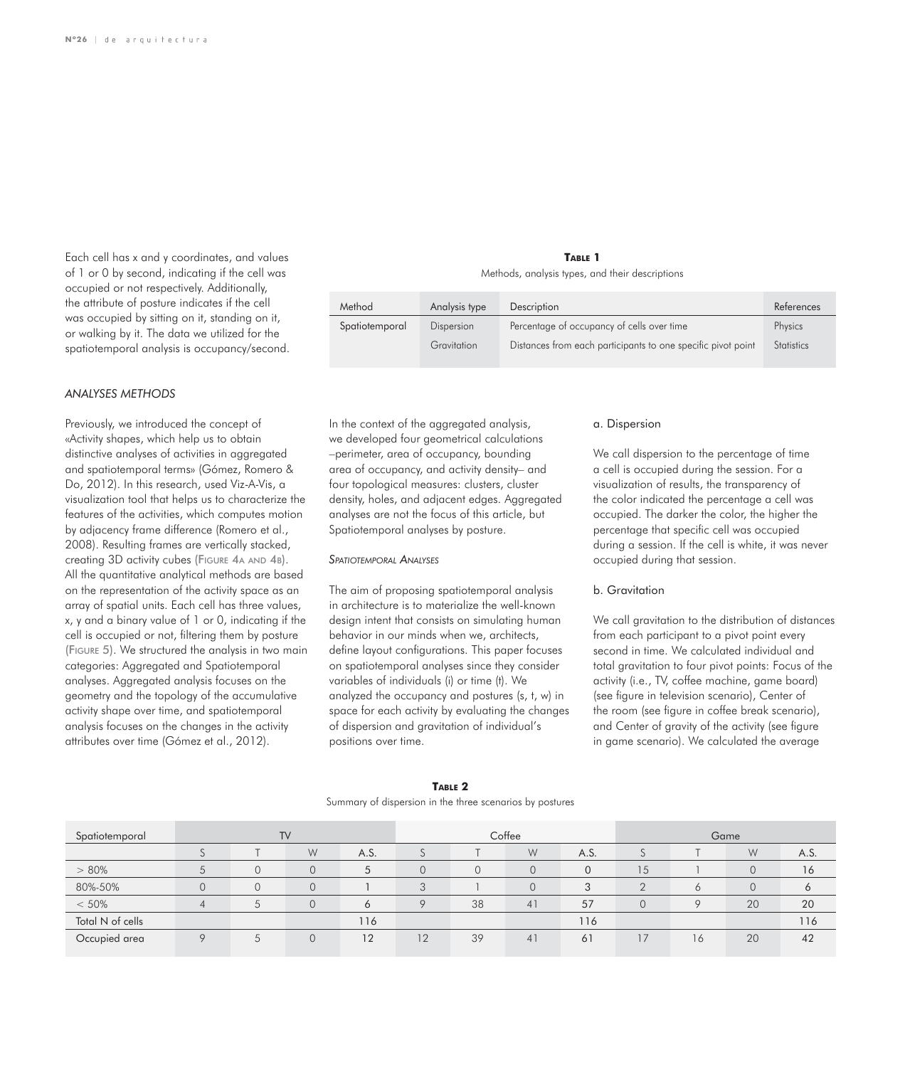Each cell has x and y coordinates, and values of 1 or 0 by second, indicating if the cell was occupied or not respectively. Additionally, the attribute of posture indicates if the cell was occupied by sitting on it, standing on it, or walking by it. The data we utilized for the spatiotemporal analysis is occupancy/second.

#### *ANALYSES METHODS*

Previously, we introduced the concept of «Activity shapes, which help us to obtain distinctive analyses of activities in aggregated and spatiotemporal terms» (Gómez, Romero & Do, 2012). In this research, used Viz-A-Vis, a visualization tool that helps us to characterize the features of the activities, which computes motion by adjacency frame difference (Romero et al., 2008). Resulting frames are vertically stacked, creating 3D activity cubes (Figure 4a and 4b). All the quantitative analytical methods are based on the representation of the activity space as an array of spatial units. Each cell has three values, x, y and a binary value of 1 or 0, indicating if the cell is occupied or not, filtering them by posture (Figure 5). We structured the analysis in two main categories: Aggregated and Spatiotemporal analyses. Aggregated analysis focuses on the geometry and the topology of the accumulative activity shape over time, and spatiotemporal analysis focuses on the changes in the activity attributes over time (Gómez et al., 2012).

**Table 1** Methods, analysis types, and their descriptions

| Method         | Analysis type | Description                                                  | References        |
|----------------|---------------|--------------------------------------------------------------|-------------------|
| Spatiotemporal | Dispersion    | Percentage of occupancy of cells over time                   | Physics           |
|                | Gravitation   | Distances from each participants to one specific pivot point | <b>Statistics</b> |

In the context of the aggregated analysis, we developed four geometrical calculations –perimeter, area of occupancy, bounding area of occupancy, and activity density– and four topological measures: clusters, cluster density, holes, and adjacent edges. Aggregated analyses are not the focus of this article, but Spatiotemporal analyses by posture.

## *Spatiotemporal Analyses*

The aim of proposing spatiotemporal analysis in architecture is to materialize the well-known design intent that consists on simulating human behavior in our minds when we, architects, define layout configurations. This paper focuses on spatiotemporal analyses since they consider variables of individuals (i) or time (t). We analyzed the occupancy and postures (s, t, w) in space for each activity by evaluating the changes of dispersion and gravitation of individual's positions over time.

## a. Dispersion

We call dispersion to the percentage of time a cell is occupied during the session. For a visualization of results, the transparency of the color indicated the percentage a cell was occupied. The darker the color, the higher the percentage that specific cell was occupied during a session. If the cell is white, it was never occupied during that session.

#### b. Gravitation

We call gravitation to the distribution of distances from each participant to a pivot point every second in time. We calculated individual and total gravitation to four pivot points: Focus of the activity (i.e., TV, coffee machine, game board) (see figure in television scenario), Center of the room (see figure in coffee break scenario), and Center of gravity of the activity (see figure in game scenario). We calculated the average

| Spatiotemporal   | <b>TV</b>      |                |          | Coffee |                |    | Game           |                |          |              |                |      |
|------------------|----------------|----------------|----------|--------|----------------|----|----------------|----------------|----------|--------------|----------------|------|
|                  |                |                | W        | A.S.   | J              |    | W              | A.S.           |          |              | W              | A.S. |
| $> 80\%$         | 5              | $\overline{0}$ | 0        | 5      | $\overline{0}$ | 0  | $\overline{0}$ | $\overline{0}$ | 15       |              | $\overline{0}$ | 16   |
| 80%-50%          |                | $\Omega$       | 0        |        | 3              |    | $\overline{O}$ | 3              | $\Omega$ | $\circ$      | $\mathbf{0}$   |      |
| < 50%            | $\overline{4}$ | 5              | $\Omega$ | 6      | $\circ$        | 38 | 41             | 57             | $\Omega$ | $\mathsf{Q}$ | 20             | 20   |
| Total N of cells |                |                |          | 116    |                |    |                | 116            |          |              |                | 116  |
| Occupied area    | $\circ$        | 5              |          | 12     | 12             | 39 | 41             | 61             | 7        | 16           | 20             | 42   |

# **Table 2**

Summary of dispersion in the three scenarios by postures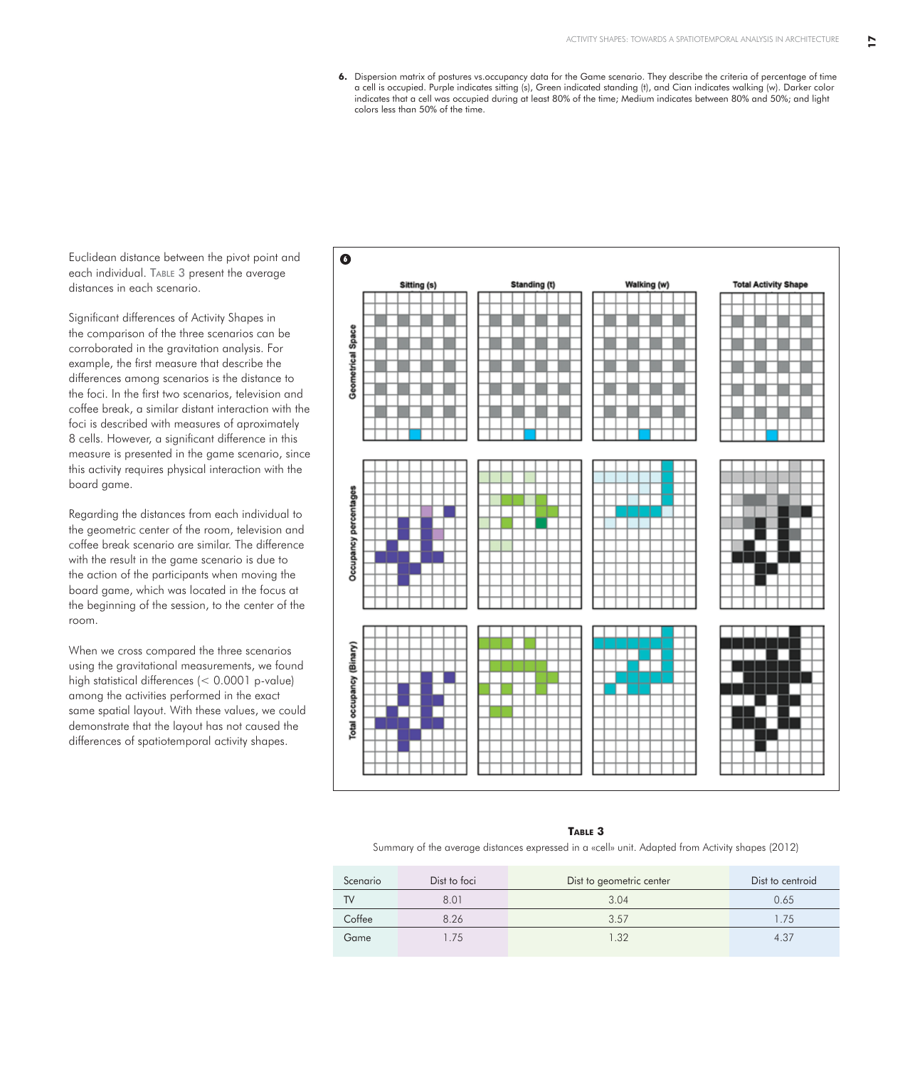**17**

**6.** Dispersion matrix of postures vs.occupancy data for the Game scenario. They describe the criteria of percentage of time a cell is occupied. Purple indicates sitting (s), Green indicated standing (t), and Cian indicates walking (w). Darker color indicates that a cell was occupied during at least 80% of the time; Medium indicates between 80% and 50%; and light colors less than 50% of the time.

Euclidean distance between the pivot point and each individual. TABLE 3 present the average distances in each scenario.

Significant differences of Activity Shapes in the comparison of the three scenarios can be corroborated in the gravitation analysis. For example, the first measure that describe the differences among scenarios is the distance to the foci. In the first two scenarios, television and coffee break, a similar distant interaction with the foci is described with measures of aproximately 8 cells. However, a significant difference in this measure is presented in the game scenario, since this activity requires physical interaction with the board game.

Regarding the distances from each individual to the geometric center of the room, television and coffee break scenario are similar. The difference with the result in the game scenario is due to the action of the participants when moving the board game, which was located in the focus at the beginning of the session, to the center of the room.

When we cross compared the three scenarios using the gravitational measurements, we found high statistical differences (< 0.0001 p-value) among the activities performed in the exact same spatial layout. With these values, we could demonstrate that the layout has not caused the differences of spatiotemporal activity shapes.



#### **Table 3**

Summary of the average distances expressed in a «cell» unit. Adapted from Activity shapes (2012)

| Scenario | Dist to foci | Dist to geometric center | Dist to centroid |
|----------|--------------|--------------------------|------------------|
| TV       | 8.01         | 3.04                     | 0.65             |
| Coffee   | 8.26         | 3.57                     | 1.75             |
| Game     | .75          | 1.32                     | 4.37             |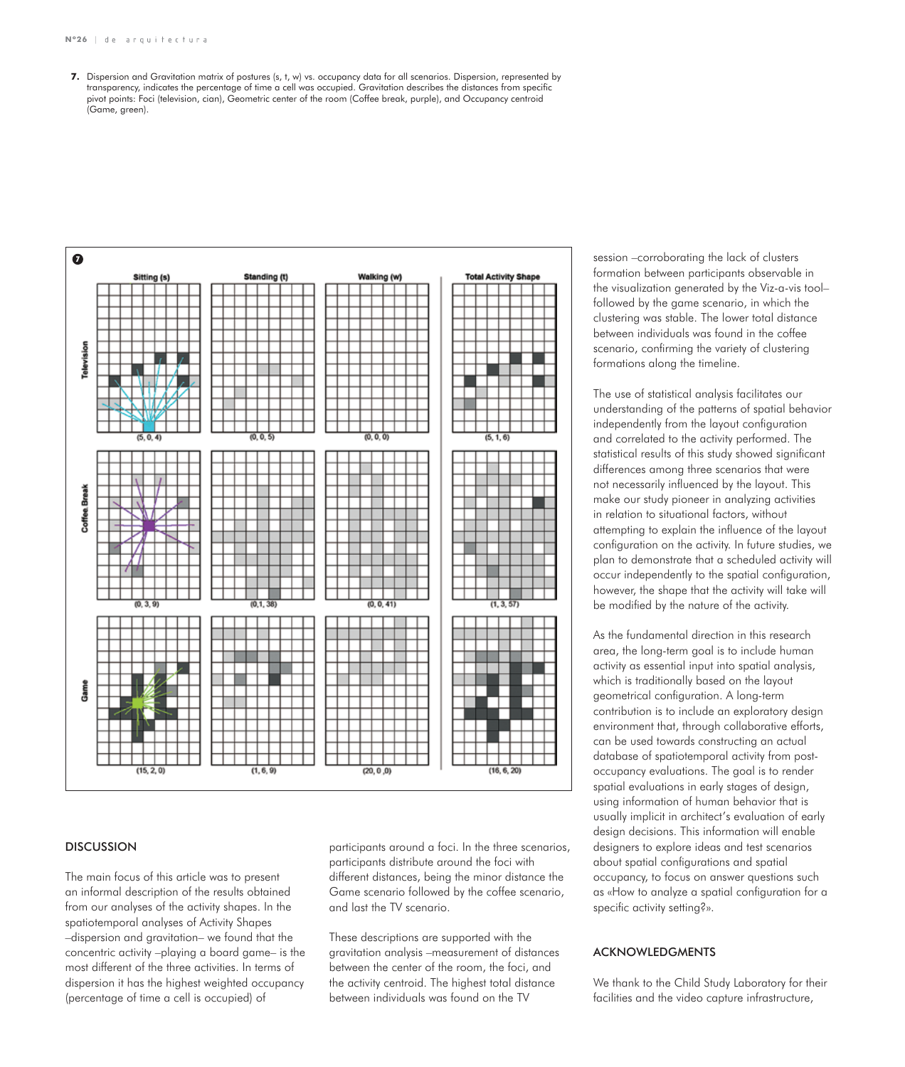**7.** Dispersion and Gravitation matrix of postures (s, t, w) vs. occupancy data for all scenarios. Dispersion, represented by transparency, indicates the percentage of time a cell was occupied. Gravitation describes the distances from specific pivot points: Foci (television, cian), Geometric center of the room (Coffee break, purple), and Occupancy centroid (Game, areen).



## **DISCUSSION**

The main focus of this article was to present an informal description of the results obtained from our analyses of the activity shapes. In the spatiotemporal analyses of Activity Shapes –dispersion and gravitation– we found that the concentric activity –playing a board game– is the most different of the three activities. In terms of dispersion it has the highest weighted occupancy (percentage of time a cell is occupied) of

participants around a foci. In the three scenarios, participants distribute around the foci with different distances, being the minor distance the Game scenario followed by the coffee scenario, and last the TV scenario.

These descriptions are supported with the gravitation analysis –measurement of distances between the center of the room, the foci, and the activity centroid. The highest total distance between individuals was found on the TV

session –corroborating the lack of clusters formation between participants observable in the visualization generated by the Viz-a-vis tool– followed by the game scenario, in which the clustering was stable. The lower total distance between individuals was found in the coffee scenario, confirming the variety of clustering formations along the timeline.

The use of statistical analysis facilitates our understanding of the patterns of spatial behavior independently from the layout configuration and correlated to the activity performed. The statistical results of this study showed significant differences among three scenarios that were not necessarily influenced by the layout. This make our study pioneer in analyzing activities in relation to situational factors, without attempting to explain the influence of the layout configuration on the activity. In future studies, we plan to demonstrate that a scheduled activity will occur independently to the spatial configuration, however, the shape that the activity will take will be modified by the nature of the activity.

As the fundamental direction in this research area, the long-term goal is to include human activity as essential input into spatial analysis, which is traditionally based on the layout geometrical configuration. A long-term contribution is to include an exploratory design environment that, through collaborative efforts, can be used towards constructing an actual database of spatiotemporal activity from postoccupancy evaluations. The goal is to render spatial evaluations in early stages of design, using information of human behavior that is usually implicit in architect's evaluation of early design decisions. This information will enable designers to explore ideas and test scenarios about spatial configurations and spatial occupancy, to focus on answer questions such as «How to analyze a spatial configuration for a specific activity setting?».

# ACKNOWLEDGMENTS

We thank to the Child Study Laboratory for their facilities and the video capture infrastructure,